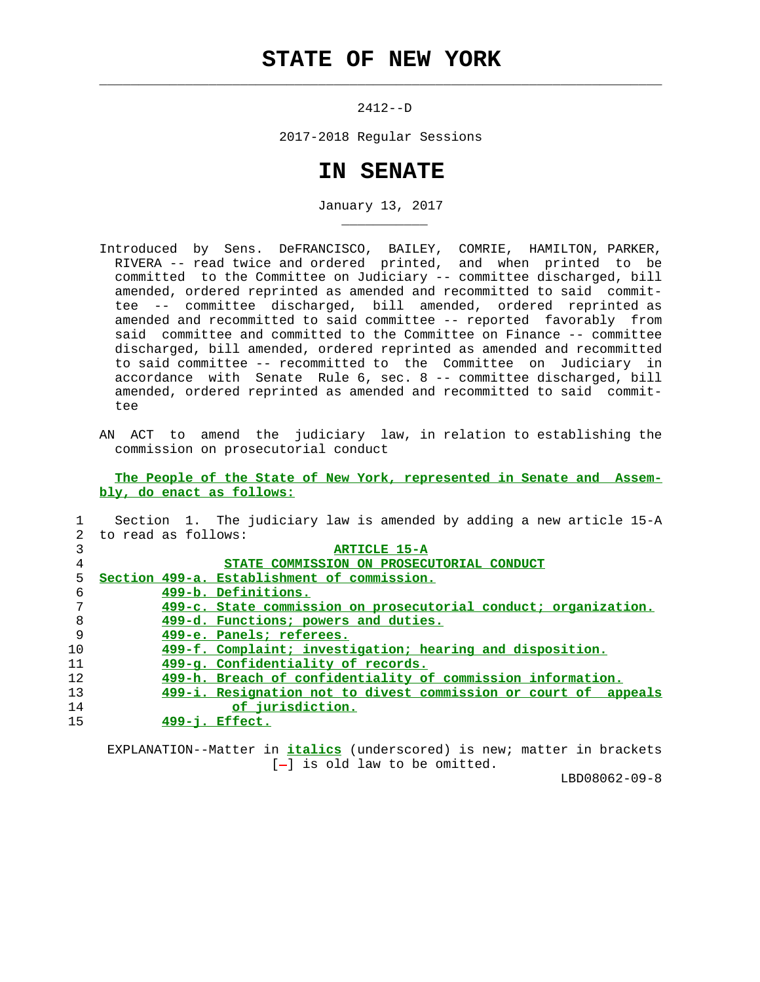## **STATE OF NEW YORK**

 $\mathcal{L}_\text{max} = \frac{1}{2} \sum_{i=1}^{n} \frac{1}{2} \sum_{i=1}^{n} \frac{1}{2} \sum_{i=1}^{n} \frac{1}{2} \sum_{i=1}^{n} \frac{1}{2} \sum_{i=1}^{n} \frac{1}{2} \sum_{i=1}^{n} \frac{1}{2} \sum_{i=1}^{n} \frac{1}{2} \sum_{i=1}^{n} \frac{1}{2} \sum_{i=1}^{n} \frac{1}{2} \sum_{i=1}^{n} \frac{1}{2} \sum_{i=1}^{n} \frac{1}{2} \sum_{i=1}^{n} \frac{1$ 

\_\_\_\_\_\_\_\_\_\_\_

2412--D

2017-2018 Regular Sessions

## **IN SENATE**

January 13, 2017

- Introduced by Sens. DeFRANCISCO, BAILEY, COMRIE, HAMILTON, PARKER, RIVERA -- read twice and ordered printed, and when printed to be committed to the Committee on Judiciary -- committee discharged, bill amended, ordered reprinted as amended and recommitted to said commit tee -- committee discharged, bill amended, ordered reprinted as amended and recommitted to said committee -- reported favorably from said committee and committed to the Committee on Finance -- committee discharged, bill amended, ordered reprinted as amended and recommitted to said committee -- recommitted to the Committee on Judiciary in accordance with Senate Rule 6, sec. 8 -- committee discharged, bill amended, ordered reprinted as amended and recommitted to said commit tee
- AN ACT to amend the judiciary law, in relation to establishing the commission on prosecutorial conduct

 **The People of the State of New York, represented in Senate and Assem bly, do enact as follows:**

|             | Section 1. The judiciary law is amended by adding a new article 15-A |
|-------------|----------------------------------------------------------------------|
| $2^{\circ}$ | to read as follows:                                                  |
| 3           | <b>ARTICLE 15-A</b>                                                  |
| 4           | STATE COMMISSION ON PROSECUTORIAL CONDUCT                            |
| 5.          | Section 499-a. Establishment of commission.                          |
| 6           | 499-b. Definitions.                                                  |
| 7           | 499-c. State commission on prosecutorial conduct; organization.      |
| 8           | 499-d. Functions; powers and duties.                                 |
| 9           | 499-e. Panels; referees.                                             |
| 10          | 499-f. Complaint; investigation; hearing and disposition.            |
| 11          | 499-g. Confidentiality of records.                                   |
| 12          | 499-h. Breach of confidentiality of commission information.          |
| 13          | 499-i. Resignation not to divest commission or court of appeals      |
| 14          | of jurisdiction.                                                     |
| 15          | $499 - i$ . Effect.                                                  |
|             |                                                                      |

 EXPLANATION--Matter in **italics** (underscored) is new; matter in brackets  $[-]$  is old law to be omitted.

LBD08062-09-8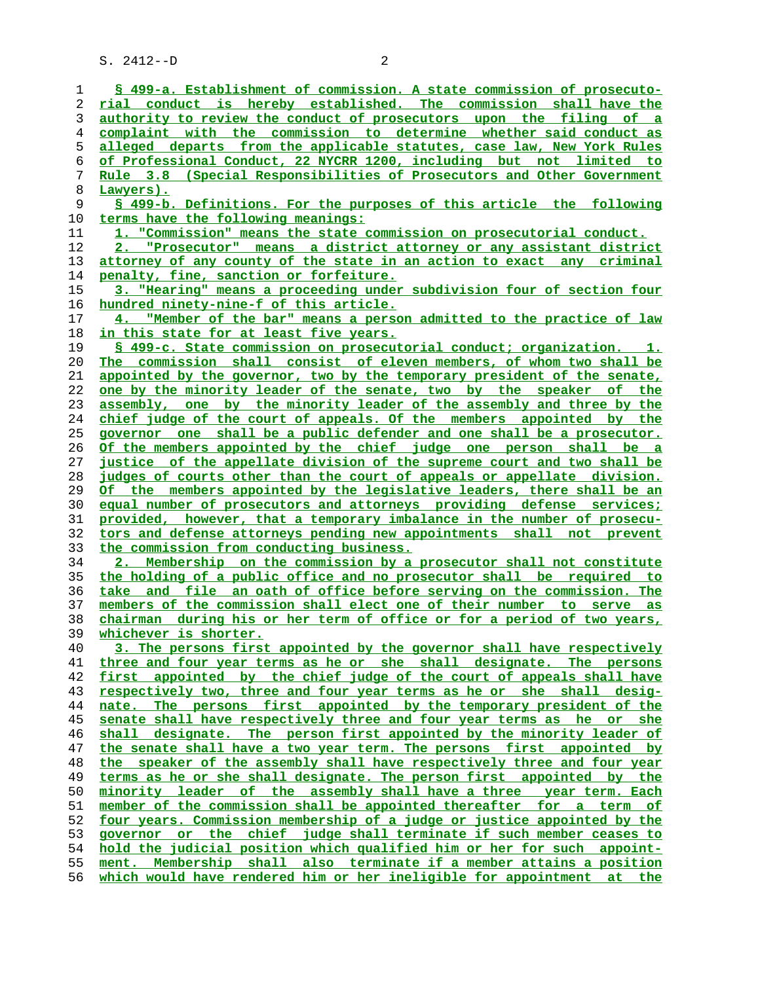**§ 499-a. Establishment of commission. A state commission of prosecuto- rial conduct is hereby established. The commission shall have the authority to review the conduct of prosecutors upon the filing of a complaint with the commission to determine whether said conduct as alleged departs from the applicable statutes, case law, New York Rules of Professional Conduct, 22 NYCRR 1200, including but not limited to Rule 3.8 (Special Responsibilities of Prosecutors and Other Government Lawyers). § 499-b. Definitions. For the purposes of this article the following terms have the following meanings: 1. "Commission" means the state commission on prosecutorial conduct. 2. "Prosecutor" means a district attorney or any assistant district attorney of any county of the state in an action to exact any criminal penalty, fine, sanction or forfeiture. 3. "Hearing" means a proceeding under subdivision four of section four hundred ninety-nine-f of this article. 4. "Member of the bar" means a person admitted to the practice of law in this state for at least five years. § 499-c. State commission on prosecutorial conduct; organization. 1. The commission shall consist of eleven members, of whom two shall be appointed by the governor, two by the temporary president of the senate, one by the minority leader of the senate, two by the speaker of the assembly, one by the minority leader of the assembly and three by the chief judge of the court of appeals. Of the members appointed by the governor one shall be a public defender and one shall be a prosecutor. Of the members appointed by the chief judge one person shall be a justice of the appellate division of the supreme court and two shall be judges of courts other than the court of appeals or appellate division. Of the members appointed by the legislative leaders, there shall be an equal number of prosecutors and attorneys providing defense services; provided, however, that a temporary imbalance in the number of prosecu- tors and defense attorneys pending new appointments shall not prevent the commission from conducting business. 2. Membership on the commission by a prosecutor shall not constitute the holding of a public office and no prosecutor shall be required to take and file an oath of office before serving on the commission. The members of the commission shall elect one of their number to serve as chairman during his or her term of office or for a period of two years, whichever is shorter. 3. The persons first appointed by the governor shall have respectively three and four year terms as he or she shall designate. The persons first appointed by the chief judge of the court of appeals shall have respectively two, three and four year terms as he or she shall desig- nate. The persons first appointed by the temporary president of the senate shall have respectively three and four year terms as he or she shall designate. The person first appointed by the minority leader of the senate shall have a two year term. The persons first appointed by the speaker of the assembly shall have respectively three and four year terms as he or she shall designate. The person first appointed by the minority leader of the assembly shall have a three year term. Each member of the commission shall be appointed thereafter for a term of four years. Commission membership of a judge or justice appointed by the governor or the chief judge shall terminate if such member ceases to hold the judicial position which qualified him or her for such appoint- ment. Membership shall also terminate if a member attains a position which would have rendered him or her ineligible for appointment at the**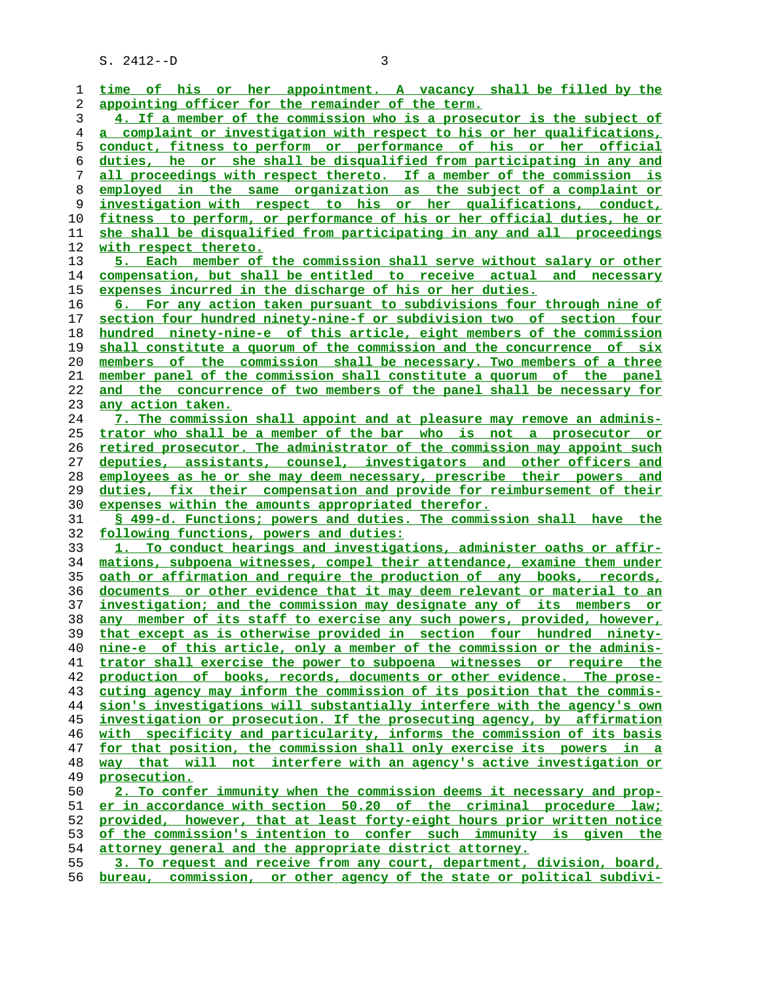| 1        | time of his or her appointment. A vacancy shall be filled by the         |
|----------|--------------------------------------------------------------------------|
| 2        | appointing officer for the remainder of the term.                        |
| 3        | 4. If a member of the commission who is a prosecutor is the subject of   |
| 4        | a complaint or investigation with respect to his or her qualifications,  |
| 5        | conduct, fitness to perform or performance of his or her official        |
| 6        | duties, he or she shall be disqualified from participating in any and    |
| 7        | all proceedings with respect thereto. If a member of the commission is   |
|          |                                                                          |
| 8        | employed in the same organization as the subject of a complaint or       |
| 9        | investigation with respect to his or her qualifications, conduct,        |
| 10       | fitness to perform, or performance of his or her official duties, he or  |
| 11       | she shall be disqualified from participating in any and all proceedings  |
| 12       | with respect thereto.                                                    |
| 13       | 5. Each member of the commission shall serve without salary or other     |
| 14       | compensation, but shall be entitled to receive actual and necessary      |
| 15       | expenses incurred in the discharge of his or her duties.                 |
| 16       | 6. For any action taken pursuant to subdivisions four through nine of    |
| 17       | section four hundred ninety-nine-f or subdivision two of section four    |
| 18       | hundred ninety-nine-e of this article, eight members of the commission   |
| 19       | shall constitute a quorum of the commission and the concurrence of six   |
| 20       | members of the commission shall be necessary. Two members of a three     |
| 21       | member panel of the commission shall constitute a quorum of the panel    |
| 22       | and the concurrence of two members of the panel shall be necessary for   |
| 23       | any action taken.                                                        |
| 24       | 7. The commission shall appoint and at pleasure may remove an adminis-   |
|          |                                                                          |
| 25       | trator who shall be a member of the bar who is not a prosecutor or       |
| 26       | retired prosecutor. The administrator of the commission may appoint such |
| 27       | deputies, assistants, counsel, investigators and other officers and      |
| 28       | employees as he or she may deem necessary, prescribe their powers and    |
| 29       | duties, fix their compensation and provide for reimbursement of their    |
| 30       | expenses within the amounts appropriated therefor.                       |
| 31       | § 499-d. Functions; powers and duties. The commission shall have the     |
| 32       | following functions, powers and duties:                                  |
| 33       | 1. To conduct hearings and investigations, administer oaths or affir-    |
| 34       | mations, subpoena witnesses, compel their attendance, examine them under |
| 35       | oath or affirmation and require the production of any books, records,    |
| 36       | documents or other evidence that it may deem relevant or material to an  |
| 37       | investigation; and the commission may designate any of its members or    |
| 38       | any member of its staff to exercise any such powers, provided, however,  |
| 39       | that except as is otherwise provided in section four hundred ninety-     |
| 40       | nine-e of this article, only a member of the commission or the adminis-  |
| 41       | trator shall exercise the power to subpoena witnesses or require the     |
| 42       | production of books, records, documents or other evidence. The prose-    |
| 43       | cuting agency may inform the commission of its position that the commis- |
| 44       | sion's investigations will substantially interfere with the agency's own |
| 45       | investigation or prosecution. If the prosecuting agency, by affirmation  |
| 46       | with specificity and particularity, informs the commission of its basis  |
| 47       | for that position, the commission shall only exercise its powers in a    |
|          |                                                                          |
| 48<br>49 | way that will not interfere with an agency's active investigation or     |
|          | prosecution.                                                             |
| 50       | 2. To confer immunity when the commission deems it necessary and prop-   |
| 51       | er in accordance with section 50.20 of the criminal procedure law;       |
| 52       | provided, however, that at least forty-eight hours prior written notice  |
| 53       | of the commission's intention to confer such immunity is given the       |
| 54       | attorney general and the appropriate district attorney.                  |
| 55       | 3. To request and receive from any court, department, division, board,   |

**bureau, commission, or other agency of the state or political subdivi-**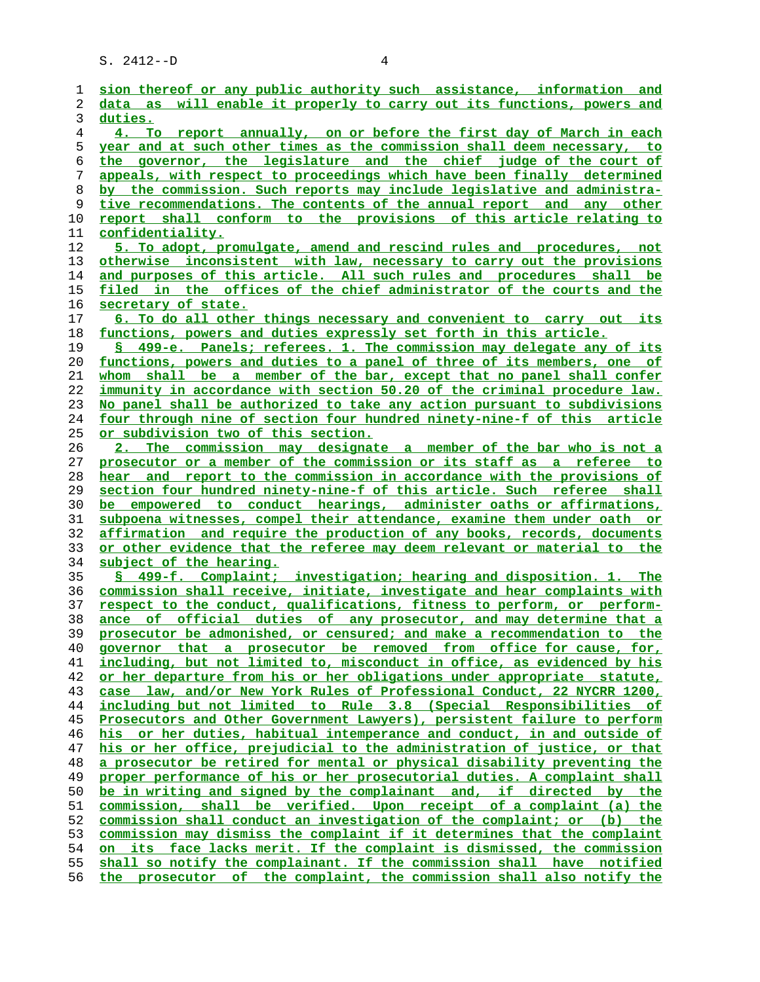| 1        | sion thereof or any public authority such assistance, information and                                                                          |
|----------|------------------------------------------------------------------------------------------------------------------------------------------------|
| 2        | data as will enable it properly to carry out its functions, powers and                                                                         |
| 3        | duties.                                                                                                                                        |
| 4        | 4. To report annually, on or before the first day of March in each                                                                             |
| 5        | year and at such other times as the commission shall deem necessary, to                                                                        |
| 6        | the governor, the legislature and the chief judge of the court of                                                                              |
| 7        | appeals, with respect to proceedings which have been finally determined                                                                        |
| 8        | by the commission. Such reports may include legislative and administra-                                                                        |
| 9        | tive recommendations. The contents of the annual report and any other                                                                          |
| 10       | report shall conform to the provisions of this article relating to                                                                             |
| 11       | confidentiality.                                                                                                                               |
| 12       | 5. To adopt, promulgate, amend and rescind rules and procedures, not                                                                           |
| 13       | otherwise inconsistent with law, necessary to carry out the provisions                                                                         |
| 14       | and purposes of this article. All such rules and procedures shall be                                                                           |
| 15       | filed in the offices of the chief administrator of the courts and the                                                                          |
| 16       | secretary of state.                                                                                                                            |
| 17       | 6. To do all other things necessary and convenient to carry out its                                                                            |
| 18       | functions, powers and duties expressly set forth in this article.                                                                              |
| 19       | § 499-e. Panels; referees. 1. The commission may delegate any of its                                                                           |
| 20       | functions, powers and duties to a panel of three of its members, one of                                                                        |
| 21       | whom shall be a member of the bar, except that no panel shall confer                                                                           |
| 22       | immunity in accordance with section 50.20 of the criminal procedure law.                                                                       |
| 23       | No panel shall be authorized to take any action pursuant to subdivisions                                                                       |
| 24       | four through nine of section four hundred ninety-nine-f of this article                                                                        |
| 25       | or subdivision two of this section.                                                                                                            |
| 26       | 2. The commission may designate a member of the bar who is not a                                                                               |
| 27       | prosecutor or a member of the commission or its staff as a referee to                                                                          |
| 28       | hear and report to the commission in accordance with the provisions of                                                                         |
| 29       | section four hundred ninety-nine-f of this article. Such referee shall                                                                         |
| 30       | be empowered to conduct hearings, administer oaths or affirmations,                                                                            |
| 31       | subpoena witnesses, compel their attendance, examine them under oath or                                                                        |
| 32       | affirmation and require the production of any books, records, documents                                                                        |
| 33       | or other evidence that the referee may deem relevant or material to the                                                                        |
| 34       | subject of the hearing.                                                                                                                        |
| 35       | § 499-f. Complaint; investigation; hearing and disposition. 1. The                                                                             |
| 36       | commission shall receive, initiate, investigate and hear complaints with                                                                       |
| 37       | respect to the conduct, qualifications, fitness to perform, or perform-                                                                        |
| 38<br>39 | ance of official duties of any prosecutor, and may determine that a<br>prosecutor be admonished, or censured; and make a recommendation to the |
| 40       | governor that a prosecutor be removed from office for cause, for,                                                                              |
| 41       | including, but not limited to, misconduct in office, as evidenced by his                                                                       |
| 42       | or her departure from his or her obligations under appropriate statute,                                                                        |
| 43       | case law, and/or New York Rules of Professional Conduct, 22 NYCRR 1200,                                                                        |
| 44       | including but not limited to Rule 3.8 (Special Responsibilities of                                                                             |
| 45       | Prosecutors and Other Government Lawyers), persistent failure to perform                                                                       |
| 46       | his or her duties, habitual intemperance and conduct, in and outside of                                                                        |
| 47       | his or her office, prejudicial to the administration of justice, or that                                                                       |
| 48       | a prosecutor be retired for mental or physical disability preventing the                                                                       |
| 49       | proper performance of his or her prosecutorial duties. A complaint shall                                                                       |
| 50       | be in writing and signed by the complainant and, if directed by the                                                                            |
| 51       | commission, shall be verified. Upon receipt of a complaint (a) the                                                                             |
| 52       | commission shall conduct an investigation of the complaint; or (b) the                                                                         |
| 53       | commission may dismiss the complaint if it determines that the complaint                                                                       |
| 54       | on its face lacks merit. If the complaint is dismissed, the commission                                                                         |
| 55       | shall so notify the complainant. If the commission shall have notified                                                                         |
| 56       | the prosecutor of the complaint, the commission shall also notify the                                                                          |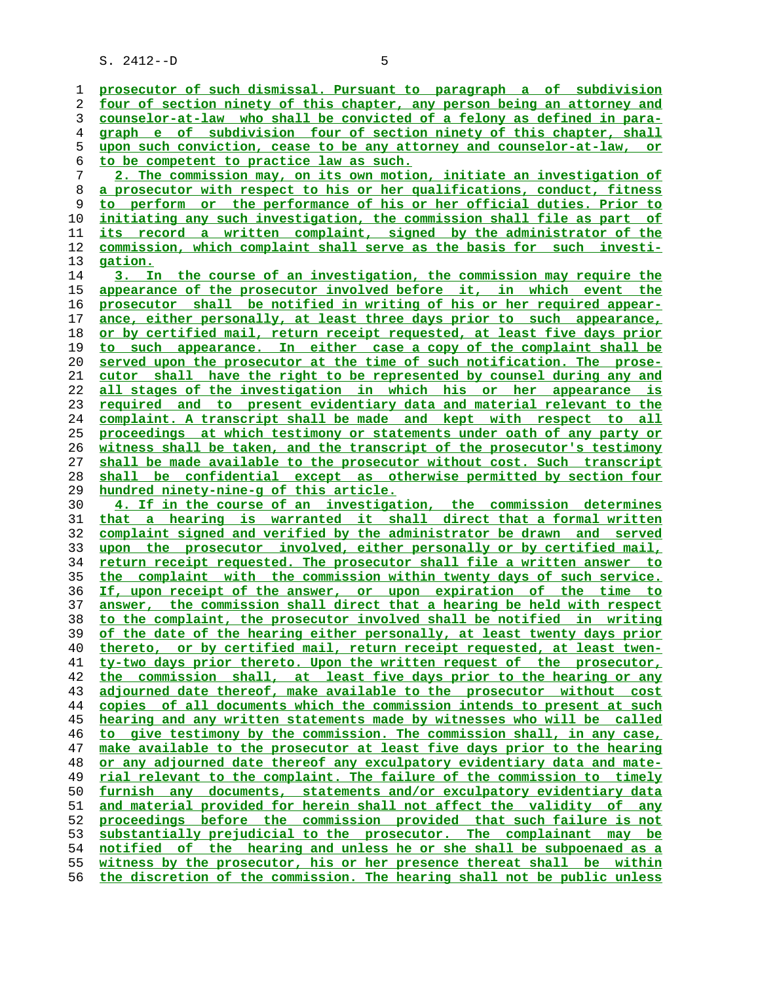**prosecutor of such dismissal. Pursuant to paragraph a of subdivision four of section ninety of this chapter, any person being an attorney and counselor-at-law who shall be convicted of a felony as defined in para- graph e of subdivision four of section ninety of this chapter, shall upon such conviction, cease to be any attorney and counselor-at-law, or to be competent to practice law as such. 2. The commission may, on its own motion, initiate an investigation of**

**a prosecutor with respect to his or her qualifications, conduct, fitness to perform or the performance of his or her official duties. Prior to initiating any such investigation, the commission shall file as part of its record a written complaint, signed by the administrator of the commission, which complaint shall serve as the basis for such investi- gation.**

**3. In the course of an investigation, the commission may require the appearance of the prosecutor involved before it, in which event the prosecutor shall be notified in writing of his or her required appear- ance, either personally, at least three days prior to such appearance, or by certified mail, return receipt requested, at least five days prior to such appearance. In either case a copy of the complaint shall be served upon the prosecutor at the time of such notification. The prose- cutor shall have the right to be represented by counsel during any and all stages of the investigation in which his or her appearance is required and to present evidentiary data and material relevant to the complaint. A transcript shall be made and kept with respect to all proceedings at which testimony or statements under oath of any party or witness shall be taken, and the transcript of the prosecutor's testimony shall be made available to the prosecutor without cost. Such transcript shall be confidential except as otherwise permitted by section four hundred ninety-nine-g of this article.**

**4. If in the course of an investigation, the commission determines that a hearing is warranted it shall direct that a formal written complaint signed and verified by the administrator be drawn and served upon the prosecutor involved, either personally or by certified mail, return receipt requested. The prosecutor shall file a written answer to the complaint with the commission within twenty days of such service. If, upon receipt of the answer, or upon expiration of the time to answer, the commission shall direct that a hearing be held with respect to the complaint, the prosecutor involved shall be notified in writing of the date of the hearing either personally, at least twenty days prior thereto, or by certified mail, return receipt requested, at least twen- ty-two days prior thereto. Upon the written request of the prosecutor, the commission shall, at least five days prior to the hearing or any adjourned date thereof, make available to the prosecutor without cost copies of all documents which the commission intends to present at such hearing and any written statements made by witnesses who will be called to give testimony by the commission. The commission shall, in any case, make available to the prosecutor at least five days prior to the hearing or any adjourned date thereof any exculpatory evidentiary data and mate- rial relevant to the complaint. The failure of the commission to timely furnish any documents, statements and/or exculpatory evidentiary data and material provided for herein shall not affect the validity of any proceedings before the commission provided that such failure is not substantially prejudicial to the prosecutor. The complainant may be notified of the hearing and unless he or she shall be subpoenaed as a witness by the prosecutor, his or her presence thereat shall be within the discretion of the commission. The hearing shall not be public unless**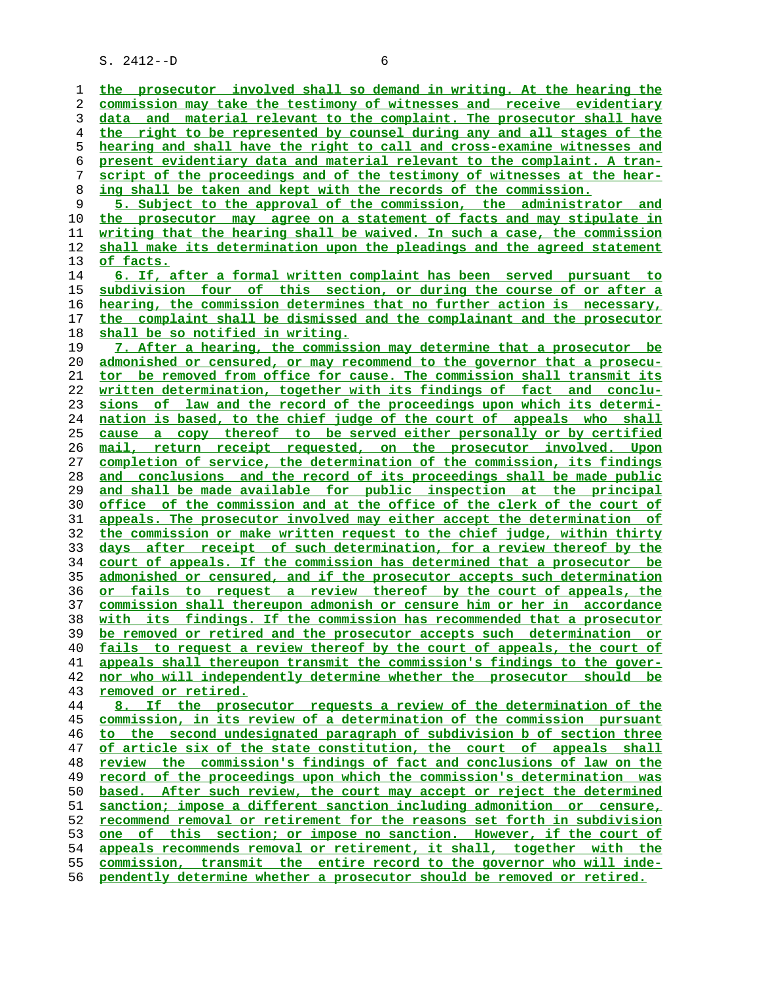**the prosecutor involved shall so demand in writing. At the hearing the commission may take the testimony of witnesses and receive evidentiary data and material relevant to the complaint. The prosecutor shall have the right to be represented by counsel during any and all stages of the hearing and shall have the right to call and cross-examine witnesses and present evidentiary data and material relevant to the complaint. A tran- script of the proceedings and of the testimony of witnesses at the hear- ing shall be taken and kept with the records of the commission. 5. Subject to the approval of the commission, the administrator and the prosecutor may agree on a statement of facts and may stipulate in writing that the hearing shall be waived. In such a case, the commission shall make its determination upon the pleadings and the agreed statement of facts. 6. If, after a formal written complaint has been served pursuant to subdivision four of this section, or during the course of or after a hearing, the commission determines that no further action is necessary, the complaint shall be dismissed and the complainant and the prosecutor shall be so notified in writing. 7. After a hearing, the commission may determine that a prosecutor be admonished or censured, or may recommend to the governor that a prosecu- tor be removed from office for cause. The commission shall transmit its written determination, together with its findings of fact and conclu- sions of law and the record of the proceedings upon which its determi- nation is based, to the chief judge of the court of appeals who shall cause a copy thereof to be served either personally or by certified mail, return receipt requested, on the prosecutor involved. Upon completion of service, the determination of the commission, its findings and conclusions and the record of its proceedings shall be made public and shall be made available for public inspection at the principal office of the commission and at the office of the clerk of the court of appeals. The prosecutor involved may either accept the determination of the commission or make written request to the chief judge, within thirty days after receipt of such determination, for a review thereof by the court of appeals. If the commission has determined that a prosecutor be admonished or censured, and if the prosecutor accepts such determination or fails to request a review thereof by the court of appeals, the commission shall thereupon admonish or censure him or her in accordance with its findings. If the commission has recommended that a prosecutor be removed or retired and the prosecutor accepts such determination or fails to request a review thereof by the court of appeals, the court of appeals shall thereupon transmit the commission's findings to the gover- nor who will independently determine whether the prosecutor should be removed or retired. 8. If the prosecutor requests a review of the determination of the commission, in its review of a determination of the commission pursuant to the second undesignated paragraph of subdivision b of section three of article six of the state constitution, the court of appeals shall review the commission's findings of fact and conclusions of law on the record of the proceedings upon which the commission's determination was based. After such review, the court may accept or reject the determined sanction; impose a different sanction including admonition or censure, recommend removal or retirement for the reasons set forth in subdivision one of this section; or impose no sanction. However, if the court of appeals recommends removal or retirement, it shall, together with the commission, transmit the entire record to the governor who will inde- pendently determine whether a prosecutor should be removed or retired.**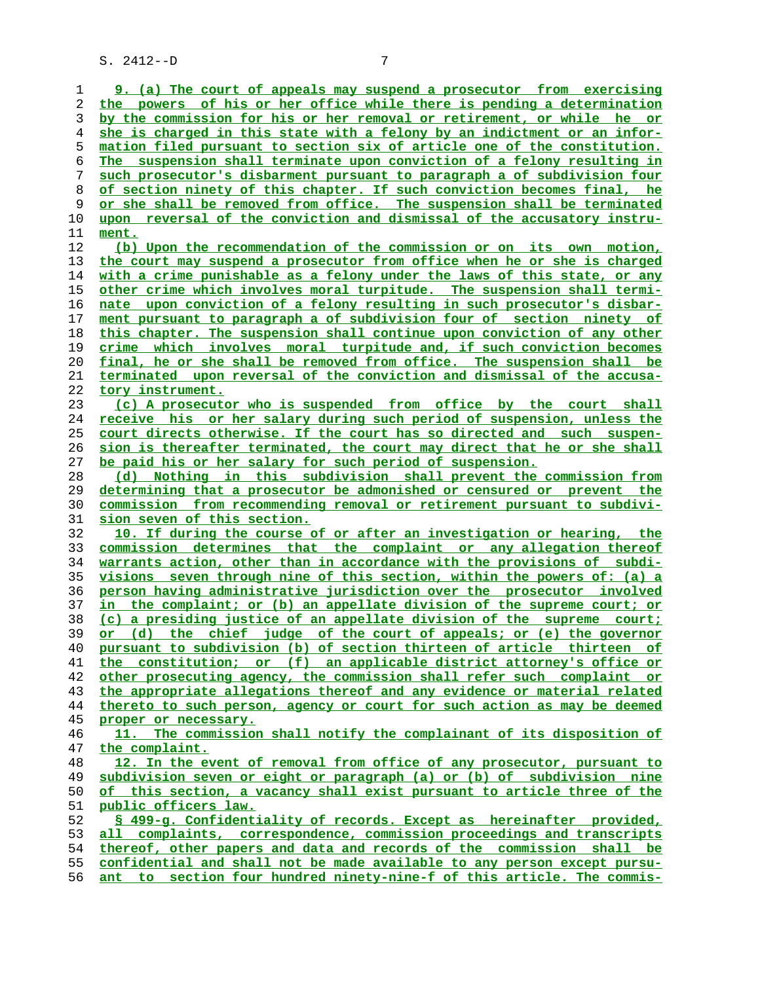**9. (a) The court of appeals may suspend a prosecutor from exercising the powers of his or her office while there is pending a determination by the commission for his or her removal or retirement, or while he or she is charged in this state with a felony by an indictment or an infor- mation filed pursuant to section six of article one of the constitution. The suspension shall terminate upon conviction of a felony resulting in such prosecutor's disbarment pursuant to paragraph a of subdivision four of section ninety of this chapter. If such conviction becomes final, he or she shall be removed from office. The suspension shall be terminated upon reversal of the conviction and dismissal of the accusatory instru- ment. (b) Upon the recommendation of the commission or on its own motion, the court may suspend a prosecutor from office when he or she is charged with a crime punishable as a felony under the laws of this state, or any other crime which involves moral turpitude. The suspension shall termi- nate upon conviction of a felony resulting in such prosecutor's disbar- ment pursuant to paragraph a of subdivision four of section ninety of this chapter. The suspension shall continue upon conviction of any other crime which involves moral turpitude and, if such conviction becomes final, he or she shall be removed from office. The suspension shall be terminated upon reversal of the conviction and dismissal of the accusa- tory instrument. (c) A prosecutor who is suspended from office by the court shall receive his or her salary during such period of suspension, unless the court directs otherwise. If the court has so directed and such suspen- sion is thereafter terminated, the court may direct that he or she shall be paid his or her salary for such period of suspension. (d) Nothing in this subdivision shall prevent the commission from determining that a prosecutor be admonished or censured or prevent the commission from recommending removal or retirement pursuant to subdivi- sion seven of this section. 10. If during the course of or after an investigation or hearing, the commission determines that the complaint or any allegation thereof warrants action, other than in accordance with the provisions of subdi- visions seven through nine of this section, within the powers of: (a) a person having administrative jurisdiction over the prosecutor involved in the complaint; or (b) an appellate division of the supreme court; or (c) a presiding justice of an appellate division of the supreme court; or (d) the chief judge of the court of appeals; or (e) the governor pursuant to subdivision (b) of section thirteen of article thirteen of the constitution; or (f) an applicable district attorney's office or other prosecuting agency, the commission shall refer such complaint or the appropriate allegations thereof and any evidence or material related thereto to such person, agency or court for such action as may be deemed proper or necessary. 11. The commission shall notify the complainant of its disposition of the complaint. 12. In the event of removal from office of any prosecutor, pursuant to subdivision seven or eight or paragraph (a) or (b) of subdivision nine of this section, a vacancy shall exist pursuant to article three of the public officers law. § 499-g. Confidentiality of records. Except as hereinafter provided, all complaints, correspondence, commission proceedings and transcripts thereof, other papers and data and records of the commission shall be confidential and shall not be made available to any person except pursu- ant to section four hundred ninety-nine-f of this article. The commis-**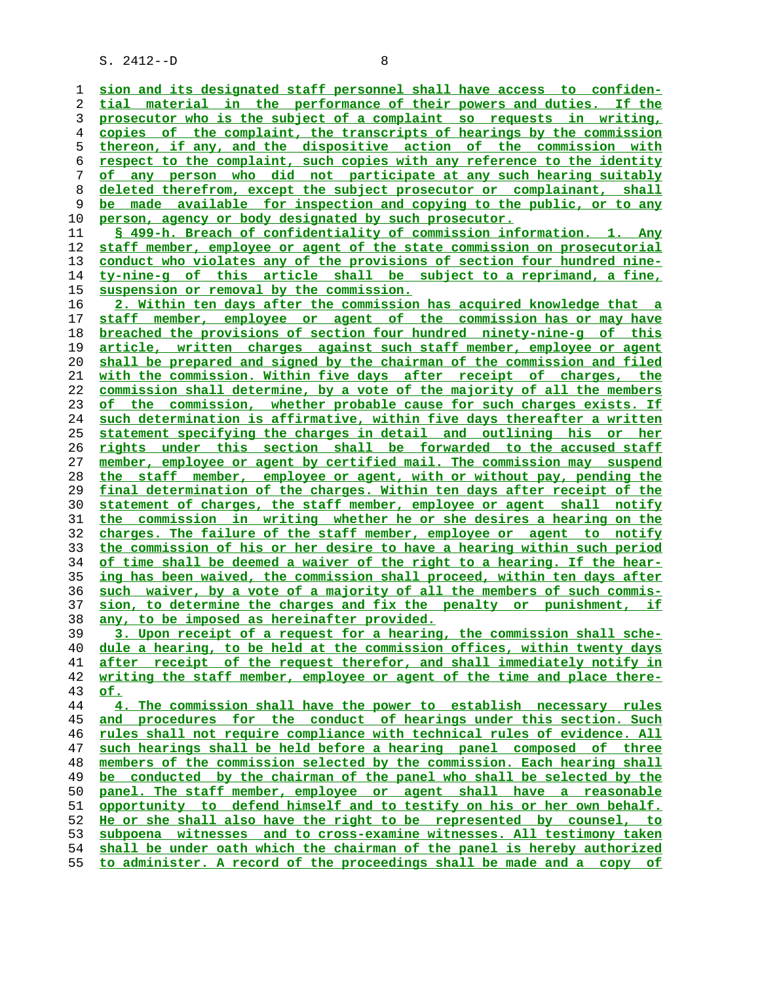**sion and its designated staff personnel shall have access to confiden- tial material in the performance of their powers and duties. If the prosecutor who is the subject of a complaint so requests in writing, copies of the complaint, the transcripts of hearings by the commission thereon, if any, and the dispositive action of the commission with respect to the complaint, such copies with any reference to the identity of any person who did not participate at any such hearing suitably deleted therefrom, except the subject prosecutor or complainant, shall be made available for inspection and copying to the public, or to any person, agency or body designated by such prosecutor.**

**§ 499-h. Breach of confidentiality of commission information. 1. Any staff member, employee or agent of the state commission on prosecutorial conduct who violates any of the provisions of section four hundred nine- ty-nine-g of this article shall be subject to a reprimand, a fine, suspension or removal by the commission.**

**2. Within ten days after the commission has acquired knowledge that a staff member, employee or agent of the commission has or may have breached the provisions of section four hundred ninety-nine-g of this article, written charges against such staff member, employee or agent shall be prepared and signed by the chairman of the commission and filed with the commission. Within five days after receipt of charges, the commission shall determine, by a vote of the majority of all the members of the commission, whether probable cause for such charges exists. If such determination is affirmative, within five days thereafter a written statement specifying the charges in detail and outlining his or her rights under this section shall be forwarded to the accused staff member, employee or agent by certified mail. The commission may suspend the staff member, employee or agent, with or without pay, pending the final determination of the charges. Within ten days after receipt of the statement of charges, the staff member, employee or agent shall notify the commission in writing whether he or she desires a hearing on the charges. The failure of the staff member, employee or agent to notify the commission of his or her desire to have a hearing within such period of time shall be deemed a waiver of the right to a hearing. If the hear- ing has been waived, the commission shall proceed, within ten days after such waiver, by a vote of a majority of all the members of such commis- sion, to determine the charges and fix the penalty or punishment, if any, to be imposed as hereinafter provided.**

**3. Upon receipt of a request for a hearing, the commission shall sche- dule a hearing, to be held at the commission offices, within twenty days after receipt of the request therefor, and shall immediately notify in writing the staff member, employee or agent of the time and place there- of.**

**4. The commission shall have the power to establish necessary rules and procedures for the conduct of hearings under this section. Such rules shall not require compliance with technical rules of evidence. All such hearings shall be held before a hearing panel composed of three members of the commission selected by the commission. Each hearing shall be conducted by the chairman of the panel who shall be selected by the panel. The staff member, employee or agent shall have a reasonable opportunity to defend himself and to testify on his or her own behalf. He or she shall also have the right to be represented by counsel, to subpoena witnesses and to cross-examine witnesses. All testimony taken shall be under oath which the chairman of the panel is hereby authorized to administer. A record of the proceedings shall be made and a copy of**